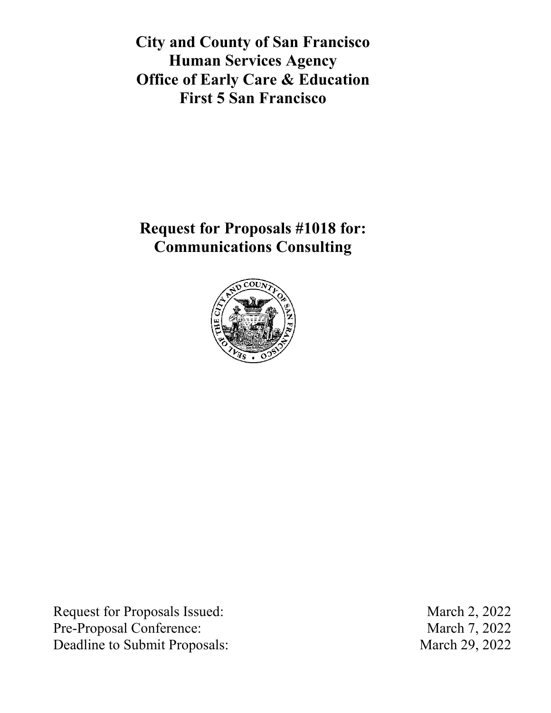**City and County of San Francisco Human Services Agency Office of Early Care & Education First 5 San Francisco**

**Request for Proposals #1018 for: Communications Consulting**



Request for Proposals Issued: March 2, 2022 Pre-Proposal Conference: March 7, 2022 Deadline to Submit Proposals: March 29, 2022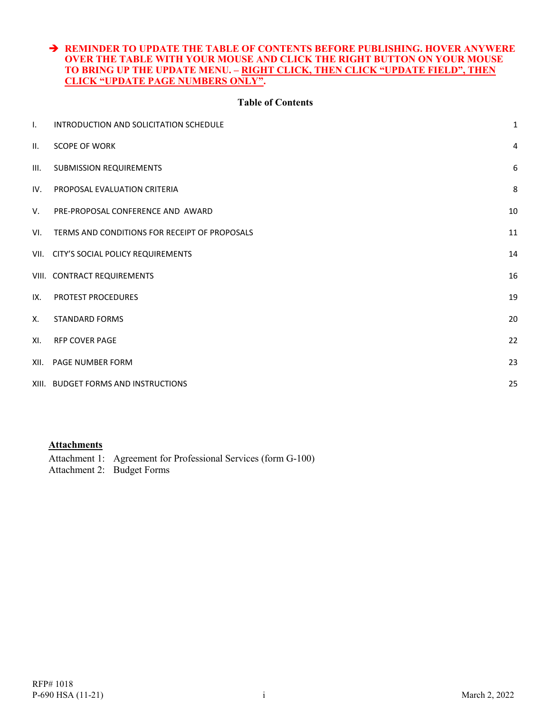#### **REMINDER TO UPDATE THE TABLE OF CONTENTS BEFORE PUBLISHING. HOVER ANYWERE OVER THE TABLE WITH YOUR MOUSE AND CLICK THE RIGHT BUTTON ON YOUR MOUSE TO BRING UP THE UPDATE MENU. – RIGHT CLICK, THEN CLICK "UPDATE FIELD", THEN CLICK "UPDATE PAGE NUMBERS ONLY".**

#### **Table of Contents**

| $\mathsf{L}$ | INTRODUCTION AND SOLICITATION SCHEDULE        | $\mathbf 1$      |
|--------------|-----------------------------------------------|------------------|
| II.          | <b>SCOPE OF WORK</b>                          | 4                |
| III.         | <b>SUBMISSION REQUIREMENTS</b>                | $\boldsymbol{6}$ |
| IV.          | PROPOSAL EVALUATION CRITERIA                  | 8                |
| V.           | PRE-PROPOSAL CONFERENCE AND AWARD             | 10               |
| VI.          | TERMS AND CONDITIONS FOR RECEIPT OF PROPOSALS | 11               |
|              | VII. CITY'S SOCIAL POLICY REQUIREMENTS        | 14               |
|              | VIII. CONTRACT REQUIREMENTS                   | 16               |
| IX.          | PROTEST PROCEDURES                            | 19               |
| Χ.           | <b>STANDARD FORMS</b>                         | 20               |
| XI.          | <b>RFP COVER PAGE</b>                         | 22               |
|              | XII. PAGE NUMBER FORM                         | 23               |
|              | XIII. BUDGET FORMS AND INSTRUCTIONS           | 25               |
|              |                                               |                  |

#### **Attachments**

Attachment 1: Agreement for Professional Services (form G-100)

Attachment 2: Budget Forms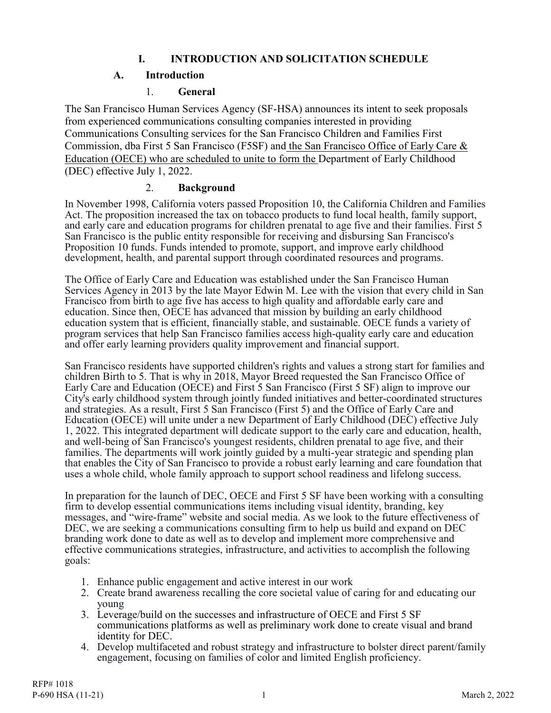## **I. INTRODUCTION AND SOLICITATION SCHEDULE**

## **A. Introduction**

### 1. **General**

<span id="page-2-0"></span>The San Francisco Human Services Agency (SF-HSA) announces its intent to seek proposals from experienced communications consulting companies interested in providing Communications Consulting services for the San Francisco Children and Families First Commission, dba First 5 San Francisco (F5SF) and the San Francisco Office of Early Care & Education (OECE) who are scheduled to unite to form the Department of Early Childhood (DEC) effective July 1, 2022.

### 2. **Background**

In November 1998, California voters passed Proposition 10, the California Children and Families Act. The proposition increased the tax on tobacco products to fund local health, family support, and early care and education programs for children prenatal to age five and their families. First 5 San Francisco is the public entity responsible for receiving and disbursing San Francisco's Proposition 10 funds. Funds intended to promote, support, and improve early childhood development, health, and parental support through coordinated resources and programs.

The Office of Early Care and Education was established under the San Francisco Human Services Agency in 2013 by the late Mayor Edwin M. Lee with the vision that every child in San Francisco from birth to age five has access to high quality and affordable early care and education. Since then, OECE has advanced that mission by building an early childhood education system that is efficient, financially stable, and sustainable. OECE funds a variety of program services that help San Francisco families access high-quality early care and education and offer early learning providers quality improvement and financial support.

San Francisco residents have supported children's rights and values a strong start for families and children Birth to 5. That is why in 2018, Mayor Breed requested the San Francisco Office of Early Care and Education (OECE) and First 5 San Francisco (First 5 SF) align to improve our City's early childhood system through jointly funded initiatives and better-coordinated structures and strategies. As a result, First 5 San Francisco (First 5) and the Office of Early Care and Education (OECE) will unite under a new Department of Early Childhood (DEC) effective July 1, 2022. This integrated department will dedicate support to the early care and education, health, and well-being of San Francisco's youngest residents, children prenatal to age five, and their families. The departments will work jointly guided by a multi-year strategic and spending plan that enables the City of San Francisco to provide a robust early learning and care foundation that uses a whole child, whole family approach to support school readiness and lifelong success.

In preparation for the launch of DEC, OECE and First 5 SF have been working with a consulting firm to develop essential communications items including visual identity, branding, key messages, and "wire-frame" website and social media. As we look to the future effectiveness of DEC, we are seeking a communications consulting firm to help us build and expand on DEC branding work done to date as well as to develop and implement more comprehensive and effective communications strategies, infrastructure, and activities to accomplish the following goals:

- 1. Enhance public engagement and active interest in our work
- 2. Create brand awareness recalling the core societal value of caring for and educating our young
- 3. Leverage/build on the successes and infrastructure of OECE and First 5 SF communications platforms as well as preliminary work done to create visual and brand identity for DEC.
- 4. Develop multifaceted and robust strategy and infrastructure to bolster direct parent/family engagement, focusing on families of color and limited English proficiency.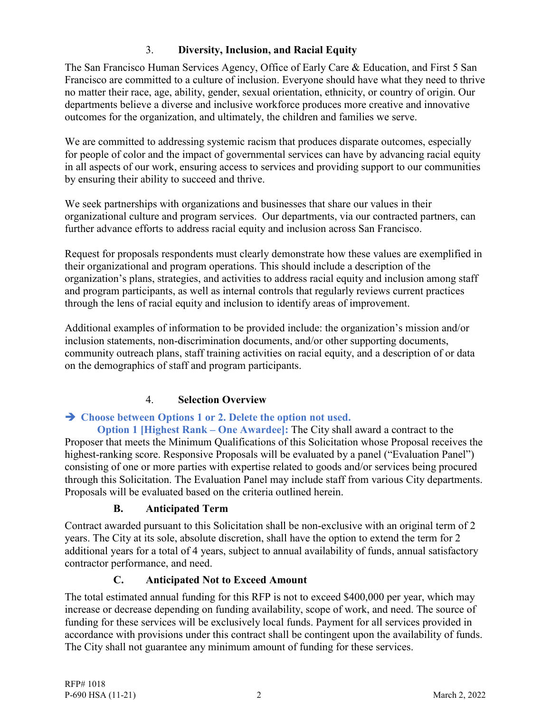## 3. **Diversity, Inclusion, and Racial Equity**

The San Francisco Human Services Agency, Office of Early Care & Education, and First 5 San Francisco are committed to a culture of inclusion. Everyone should have what they need to thrive no matter their race, age, ability, gender, sexual orientation, ethnicity, or country of origin. Our departments believe a diverse and inclusive workforce produces more creative and innovative outcomes for the organization, and ultimately, the children and families we serve.

We are committed to addressing systemic racism that produces disparate outcomes, especially for people of color and the impact of governmental services can have by advancing racial equity in all aspects of our work, ensuring access to services and providing support to our communities by ensuring their ability to succeed and thrive.

We seek partnerships with organizations and businesses that share our values in their organizational culture and program services. Our departments, via our contracted partners, can further advance efforts to address racial equity and inclusion across San Francisco.

Request for proposals respondents must clearly demonstrate how these values are exemplified in their organizational and program operations. This should include a description of the organization's plans, strategies, and activities to address racial equity and inclusion among staff and program participants, as well as internal controls that regularly reviews current practices through the lens of racial equity and inclusion to identify areas of improvement.

Additional examples of information to be provided include: the organization's mission and/or inclusion statements, non-discrimination documents, and/or other supporting documents, community outreach plans, staff training activities on racial equity, and a description of or data on the demographics of staff and program participants.

# 4. **Selection Overview**

# **Choose between Options 1 or 2. Delete the option not used.**

**Option 1 [Highest Rank – One Awardee]:** The City shall award a contract to the Proposer that meets the Minimum Qualifications of this Solicitation whose Proposal receives the highest-ranking score. Responsive Proposals will be evaluated by a panel ("Evaluation Panel") consisting of one or more parties with expertise related to goods and/or services being procured through this Solicitation. The Evaluation Panel may include staff from various City departments. Proposals will be evaluated based on the criteria outlined herein.

## **B. Anticipated Term**

Contract awarded pursuant to this Solicitation shall be non-exclusive with an original term of 2 years. The City at its sole, absolute discretion, shall have the option to extend the term for 2 additional years for a total of 4 years, subject to annual availability of funds, annual satisfactory contractor performance, and need.

## **C. Anticipated Not to Exceed Amount**

The total estimated annual funding for this RFP is not to exceed \$400,000 per year, which may increase or decrease depending on funding availability, scope of work, and need. The source of funding for these services will be exclusively local funds. Payment for all services provided in accordance with provisions under this contract shall be contingent upon the availability of funds. The City shall not guarantee any minimum amount of funding for these services.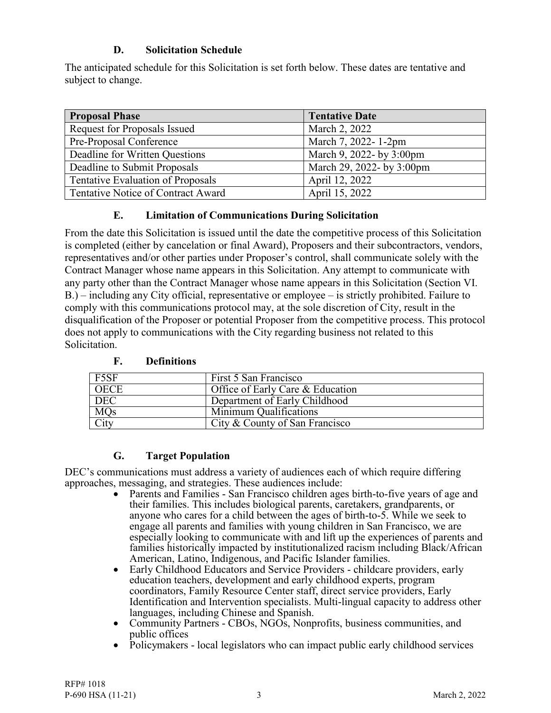## **D. Solicitation Schedule**

The anticipated schedule for this Solicitation is set forth below. These dates are tentative and subject to change.

| <b>Proposal Phase</b>                    | <b>Tentative Date</b>     |
|------------------------------------------|---------------------------|
| Request for Proposals Issued             | March 2, 2022             |
| Pre-Proposal Conference                  | March 7, 2022-1-2pm       |
| Deadline for Written Questions           | March 9, 2022- by 3:00pm  |
| Deadline to Submit Proposals             | March 29, 2022- by 3:00pm |
| <b>Tentative Evaluation of Proposals</b> | April 12, 2022            |
| Tentative Notice of Contract Award       | April 15, 2022            |

## **E. Limitation of Communications During Solicitation**

From the date this Solicitation is issued until the date the competitive process of this Solicitation is completed (either by cancelation or final Award), Proposers and their subcontractors, vendors, representatives and/or other parties under Proposer's control, shall communicate solely with the Contract Manager whose name appears in this Solicitation. Any attempt to communicate with any party other than the Contract Manager whose name appears in this Solicitation (Section VI. B.) – including any City official, representative or employee – is strictly prohibited. Failure to comply with this communications protocol may, at the sole discretion of City, result in the disqualification of the Proposer or potential Proposer from the competitive process. This protocol does not apply to communications with the City regarding business not related to this Solicitation.

| F5SF        | First 5 San Francisco            |
|-------------|----------------------------------|
| <b>OECE</b> | Office of Early Care & Education |
| <b>DEC</b>  | Department of Early Childhood    |
| <b>MQs</b>  | Minimum Qualifications           |
| City        | City & County of San Francisco   |

### **F. Definitions**

## **G. Target Population**

DEC's communications must address a variety of audiences each of which require differing approaches, messaging, and strategies. These audiences include:

- Parents and Families San Francisco children ages birth-to-five years of age and their families. This includes biological parents, caretakers, grandparents, or anyone who cares for a child between the ages of birth-to-5. While we seek to engage all parents and families with young children in San Francisco, we are especially looking to communicate with and lift up the experiences of parents and families historically impacted by institutionalized racism including Black/African American, Latino, Indigenous, and Pacific Islander families.
- Early Childhood Educators and Service Providers childcare providers, early education teachers, development and early childhood experts, program coordinators, Family Resource Center staff, direct service providers, Early Identification and Intervention specialists. Multi-lingual capacity to address other languages, including Chinese and Spanish.
- Community Partners CBOs, NGOs, Nonprofits, business communities, and public offices
- Policymakers local legislators who can impact public early childhood services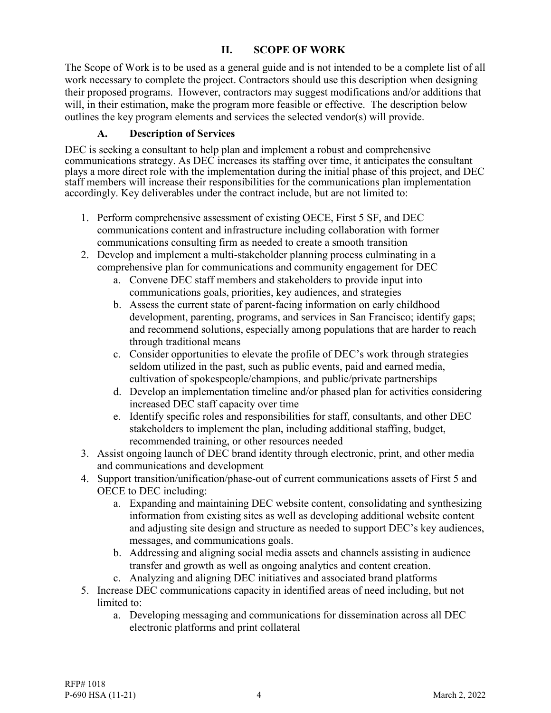## **II. SCOPE OF WORK**

<span id="page-5-0"></span>The Scope of Work is to be used as a general guide and is not intended to be a complete list of all work necessary to complete the project. Contractors should use this description when designing their proposed programs. However, contractors may suggest modifications and/or additions that will, in their estimation, make the program more feasible or effective. The description below outlines the key program elements and services the selected vendor(s) will provide.

## **A. Description of Services**

DEC is seeking a consultant to help plan and implement a robust and comprehensive communications strategy. As DEC increases its staffing over time, it anticipates the consultant plays a more direct role with the implementation during the initial phase of this project, and DEC staff members will increase their responsibilities for the communications plan implementation accordingly. Key deliverables under the contract include, but are not limited to:

- 1. Perform comprehensive assessment of existing OECE, First 5 SF, and DEC communications content and infrastructure including collaboration with former communications consulting firm as needed to create a smooth transition
- 2. Develop and implement a multi-stakeholder planning process culminating in a comprehensive plan for communications and community engagement for DEC
	- a. Convene DEC staff members and stakeholders to provide input into communications goals, priorities, key audiences, and strategies
	- b. Assess the current state of parent-facing information on early childhood development, parenting, programs, and services in San Francisco; identify gaps; and recommend solutions, especially among populations that are harder to reach through traditional means
	- c. Consider opportunities to elevate the profile of DEC's work through strategies seldom utilized in the past, such as public events, paid and earned media, cultivation of spokespeople/champions, and public/private partnerships
	- d. Develop an implementation timeline and/or phased plan for activities considering increased DEC staff capacity over time
	- e. Identify specific roles and responsibilities for staff, consultants, and other DEC stakeholders to implement the plan, including additional staffing, budget, recommended training, or other resources needed
- 3. Assist ongoing launch of DEC brand identity through electronic, print, and other media and communications and development
- 4. Support transition/unification/phase-out of current communications assets of First 5 and OECE to DEC including:
	- a. Expanding and maintaining DEC website content, consolidating and synthesizing information from existing sites as well as developing additional website content and adjusting site design and structure as needed to support DEC's key audiences, messages, and communications goals.
	- b. Addressing and aligning social media assets and channels assisting in audience transfer and growth as well as ongoing analytics and content creation.
	- c. Analyzing and aligning DEC initiatives and associated brand platforms
- 5. Increase DEC communications capacity in identified areas of need including, but not limited to:
	- a. Developing messaging and communications for dissemination across all DEC electronic platforms and print collateral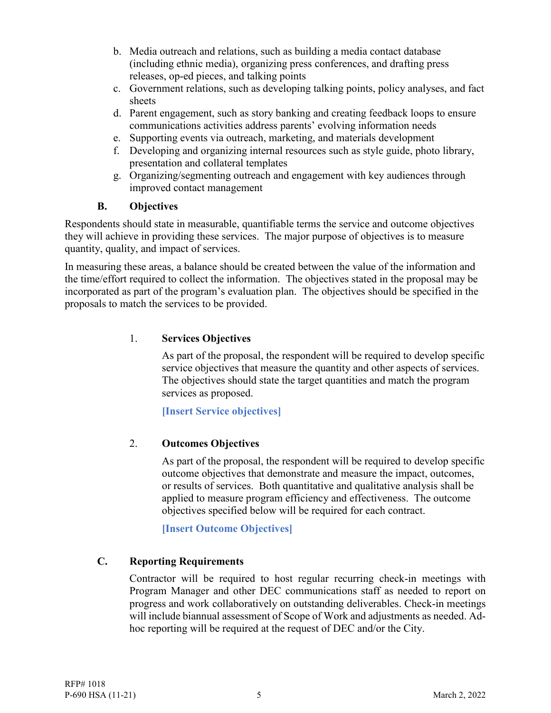- b. Media outreach and relations, such as building a media contact database (including ethnic media), organizing press conferences, and drafting press releases, op-ed pieces, and talking points
- c. Government relations, such as developing talking points, policy analyses, and fact sheets
- d. Parent engagement, such as story banking and creating feedback loops to ensure communications activities address parents' evolving information needs
- e. Supporting events via outreach, marketing, and materials development
- f. Developing and organizing internal resources such as style guide, photo library, presentation and collateral templates
- g. Organizing/segmenting outreach and engagement with key audiences through improved contact management

## **B. Objectives**

Respondents should state in measurable, quantifiable terms the service and outcome objectives they will achieve in providing these services. The major purpose of objectives is to measure quantity, quality, and impact of services.

In measuring these areas, a balance should be created between the value of the information and the time/effort required to collect the information. The objectives stated in the proposal may be incorporated as part of the program's evaluation plan. The objectives should be specified in the proposals to match the services to be provided.

### 1. **Services Objectives**

As part of the proposal, the respondent will be required to develop specific service objectives that measure the quantity and other aspects of services. The objectives should state the target quantities and match the program services as proposed.

**[Insert Service objectives]**

## 2. **Outcomes Objectives**

As part of the proposal, the respondent will be required to develop specific outcome objectives that demonstrate and measure the impact, outcomes, or results of services. Both quantitative and qualitative analysis shall be applied to measure program efficiency and effectiveness. The outcome objectives specified below will be required for each contract.

**[Insert Outcome Objectives]**

## **C. Reporting Requirements**

Contractor will be required to host regular recurring check-in meetings with Program Manager and other DEC communications staff as needed to report on progress and work collaboratively on outstanding deliverables. Check-in meetings will include biannual assessment of Scope of Work and adjustments as needed. Adhoc reporting will be required at the request of DEC and/or the City.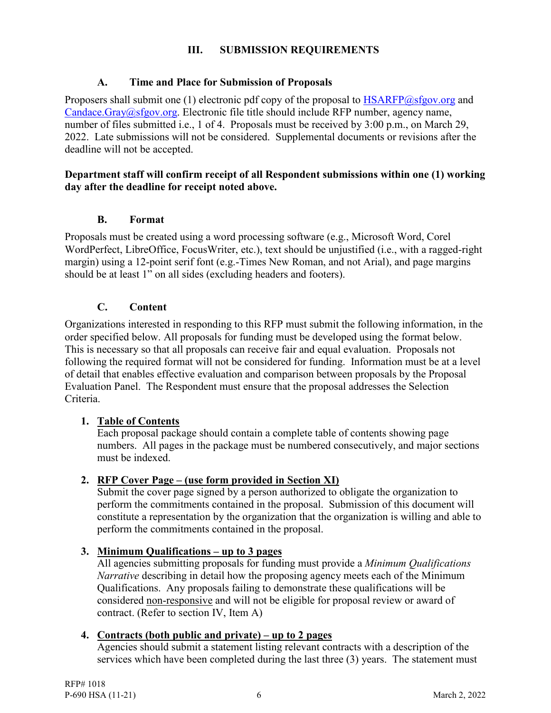## **III. SUBMISSION REQUIREMENTS**

### <span id="page-7-0"></span>**A. Time and Place for Submission of Proposals**

Proposers shall submit one (1) electronic pdf copy of the proposal to [HSARFP@sfgov.org](mailto:HSARFP@sfgov.org) and [Candace.Gray@sfgov.org.](mailto:Candace.Gray@sfgov.org) Electronic file title should include RFP number, agency name, number of files submitted i.e., 1 of 4. Proposals must be received by 3:00 p.m., on March 29, 2022. Late submissions will not be considered. Supplemental documents or revisions after the deadline will not be accepted.

### **Department staff will confirm receipt of all Respondent submissions within one (1) working day after the deadline for receipt noted above.**

### **B. Format**

Proposals must be created using a word processing software (e.g., Microsoft Word, Corel WordPerfect, LibreOffice, FocusWriter, etc.), text should be unjustified (i.e., with a ragged-right margin) using a 12-point serif font (e.g.-Times New Roman, and not Arial), and page margins should be at least 1" on all sides (excluding headers and footers).

## **C. Content**

Organizations interested in responding to this RFP must submit the following information, in the order specified below. All proposals for funding must be developed using the format below. This is necessary so that all proposals can receive fair and equal evaluation. Proposals not following the required format will not be considered for funding. Information must be at a level of detail that enables effective evaluation and comparison between proposals by the Proposal Evaluation Panel. The Respondent must ensure that the proposal addresses the Selection Criteria.

## **1. Table of Contents**

Each proposal package should contain a complete table of contents showing page numbers. All pages in the package must be numbered consecutively, and major sections must be indexed.

## **2. RFP Cover Page – (use form provided in Section XI)**

Submit the cover page signed by a person authorized to obligate the organization to perform the commitments contained in the proposal. Submission of this document will constitute a representation by the organization that the organization is willing and able to perform the commitments contained in the proposal.

### **3. Minimum Qualifications – up to 3 pages**

All agencies submitting proposals for funding must provide a *Minimum Qualifications Narrative* describing in detail how the proposing agency meets each of the Minimum Qualifications. Any proposals failing to demonstrate these qualifications will be considered non-responsive and will not be eligible for proposal review or award of contract. (Refer to section IV, Item A)

### **4. Contracts (both public and private) – up to 2 pages**

Agencies should submit a statement listing relevant contracts with a description of the services which have been completed during the last three (3) years. The statement must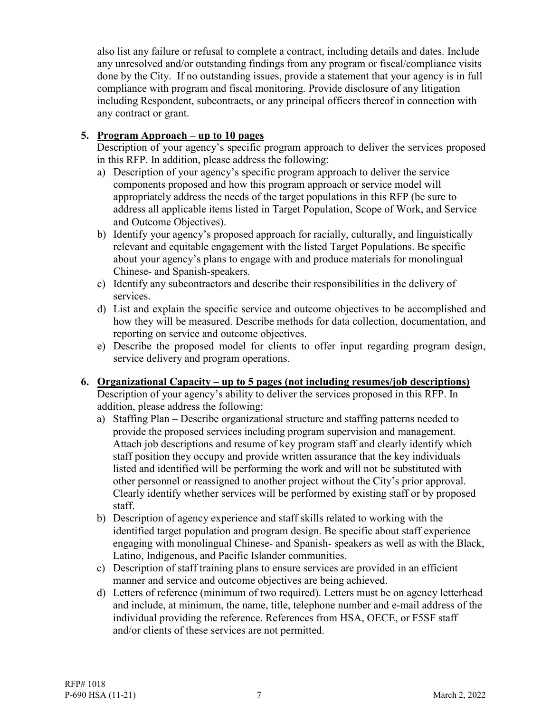also list any failure or refusal to complete a contract, including details and dates. Include any unresolved and/or outstanding findings from any program or fiscal/compliance visits done by the City. If no outstanding issues, provide a statement that your agency is in full compliance with program and fiscal monitoring. Provide disclosure of any litigation including Respondent, subcontracts, or any principal officers thereof in connection with any contract or grant.

### **5. Program Approach – up to 10 pages**

Description of your agency's specific program approach to deliver the services proposed in this RFP. In addition, please address the following:

- a) Description of your agency's specific program approach to deliver the service components proposed and how this program approach or service model will appropriately address the needs of the target populations in this RFP (be sure to address all applicable items listed in Target Population, Scope of Work, and Service and Outcome Objectives).
- b) Identify your agency's proposed approach for racially, culturally, and linguistically relevant and equitable engagement with the listed Target Populations. Be specific about your agency's plans to engage with and produce materials for monolingual Chinese- and Spanish-speakers.
- c) Identify any subcontractors and describe their responsibilities in the delivery of services.
- d) List and explain the specific service and outcome objectives to be accomplished and how they will be measured. Describe methods for data collection, documentation, and reporting on service and outcome objectives.
- e) Describe the proposed model for clients to offer input regarding program design, service delivery and program operations.

### **6. Organizational Capacity – up to 5 pages (not including resumes/job descriptions)**

Description of your agency's ability to deliver the services proposed in this RFP. In addition, please address the following:

- a) Staffing Plan Describe organizational structure and staffing patterns needed to provide the proposed services including program supervision and management. Attach job descriptions and resume of key program staff and clearly identify which staff position they occupy and provide written assurance that the key individuals listed and identified will be performing the work and will not be substituted with other personnel or reassigned to another project without the City's prior approval. Clearly identify whether services will be performed by existing staff or by proposed staff.
- b) Description of agency experience and staff skills related to working with the identified target population and program design. Be specific about staff experience engaging with monolingual Chinese- and Spanish- speakers as well as with the Black, Latino, Indigenous, and Pacific Islander communities.
- c) Description of staff training plans to ensure services are provided in an efficient manner and service and outcome objectives are being achieved.
- d) Letters of reference (minimum of two required). Letters must be on agency letterhead and include, at minimum, the name, title, telephone number and e-mail address of the individual providing the reference. References from HSA, OECE, or F5SF staff and/or clients of these services are not permitted.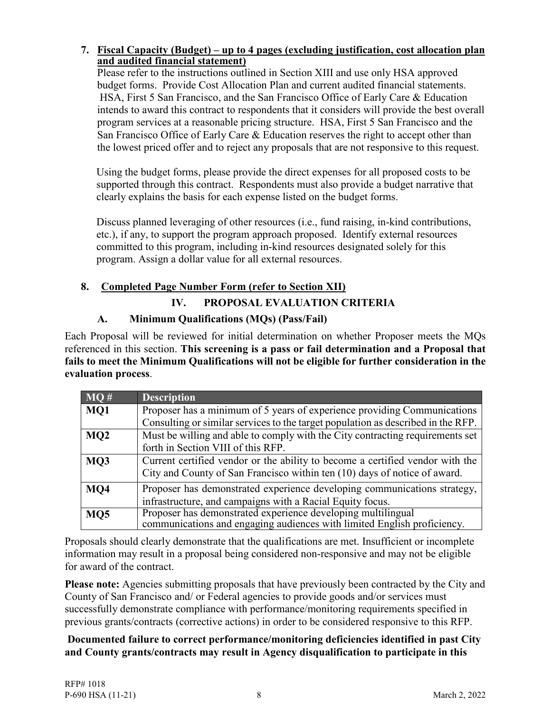### **7. Fiscal Capacity (Budget) – up to 4 pages (excluding justification, cost allocation plan and audited financial statement)**

Please refer to the instructions outlined in Section XIII and use only HSA approved budget forms. Provide Cost Allocation Plan and current audited financial statements. HSA, First 5 San Francisco, and the San Francisco Office of Early Care & Education intends to award this contract to respondents that it considers will provide the best overall program services at a reasonable pricing structure. HSA, First 5 San Francisco and the San Francisco Office of Early Care & Education reserves the right to accept other than the lowest priced offer and to reject any proposals that are not responsive to this request.

Using the budget forms, please provide the direct expenses for all proposed costs to be supported through this contract. Respondents must also provide a budget narrative that clearly explains the basis for each expense listed on the budget forms.

Discuss planned leveraging of other resources (i.e., fund raising, in-kind contributions, etc.), if any, to support the program approach proposed. Identify external resources committed to this program, including in-kind resources designated solely for this program. Assign a dollar value for all external resources.

## <span id="page-9-0"></span>**8. Completed Page Number Form (refer to Section XII)**

# **IV. PROPOSAL EVALUATION CRITERIA**

## **A. Minimum Qualifications (MQs) (Pass/Fail)**

Each Proposal will be reviewed for initial determination on whether Proposer meets the MQs referenced in this section. **This screening is a pass or fail determination and a Proposal that fails to meet the Minimum Qualifications will not be eligible for further consideration in the evaluation process**.

| MO#             | <b>Description</b>                                                               |  |
|-----------------|----------------------------------------------------------------------------------|--|
| MQ1             | Proposer has a minimum of 5 years of experience providing Communications         |  |
|                 | Consulting or similar services to the target population as described in the RFP. |  |
| MQ <sub>2</sub> | Must be willing and able to comply with the City contracting requirements set    |  |
|                 | forth in Section VIII of this RFP.                                               |  |
| MQ3             | Current certified vendor or the ability to become a certified vendor with the    |  |
|                 | City and County of San Francisco within ten (10) days of notice of award.        |  |
| MQ4             | Proposer has demonstrated experience developing communications strategy,         |  |
|                 | infrastructure, and campaigns with a Racial Equity focus.                        |  |
| MQ <sub>5</sub> | Proposer has demonstrated experience developing multilingual                     |  |
|                 | communications and engaging audiences with limited English proficiency.          |  |

Proposals should clearly demonstrate that the qualifications are met. Insufficient or incomplete information may result in a proposal being considered non-responsive and may not be eligible for award of the contract.

Please note: Agencies submitting proposals that have previously been contracted by the City and County of San Francisco and/ or Federal agencies to provide goods and/or services must successfully demonstrate compliance with performance/monitoring requirements specified in previous grants/contracts (corrective actions) in order to be considered responsive to this RFP.

**Documented failure to correct performance/monitoring deficiencies identified in past City and County grants/contracts may result in Agency disqualification to participate in this**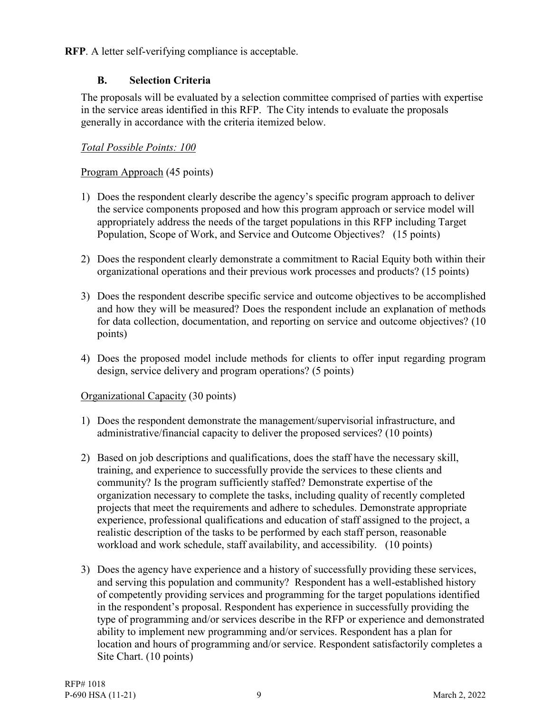**RFP**. A letter self-verifying compliance is acceptable.

## **B. Selection Criteria**

The proposals will be evaluated by a selection committee comprised of parties with expertise in the service areas identified in this RFP. The City intends to evaluate the proposals generally in accordance with the criteria itemized below.

## *Total Possible Points: 100*

## Program Approach (45 points)

- 1) Does the respondent clearly describe the agency's specific program approach to deliver the service components proposed and how this program approach or service model will appropriately address the needs of the target populations in this RFP including Target Population, Scope of Work, and Service and Outcome Objectives? (15 points)
- 2) Does the respondent clearly demonstrate a commitment to Racial Equity both within their organizational operations and their previous work processes and products? (15 points)
- 3) Does the respondent describe specific service and outcome objectives to be accomplished and how they will be measured? Does the respondent include an explanation of methods for data collection, documentation, and reporting on service and outcome objectives? (10 points)
- 4) Does the proposed model include methods for clients to offer input regarding program design, service delivery and program operations? (5 points)

## Organizational Capacity (30 points)

- 1) Does the respondent demonstrate the management/supervisorial infrastructure, and administrative/financial capacity to deliver the proposed services? (10 points)
- 2) Based on job descriptions and qualifications, does the staff have the necessary skill, training, and experience to successfully provide the services to these clients and community? Is the program sufficiently staffed? Demonstrate expertise of the organization necessary to complete the tasks, including quality of recently completed projects that meet the requirements and adhere to schedules. Demonstrate appropriate experience, professional qualifications and education of staff assigned to the project, a realistic description of the tasks to be performed by each staff person, reasonable workload and work schedule, staff availability, and accessibility. (10 points)
- 3) Does the agency have experience and a history of successfully providing these services, and serving this population and community? Respondent has a well-established history of competently providing services and programming for the target populations identified in the respondent's proposal. Respondent has experience in successfully providing the type of programming and/or services describe in the RFP or experience and demonstrated ability to implement new programming and/or services. Respondent has a plan for location and hours of programming and/or service. Respondent satisfactorily completes a Site Chart. (10 points)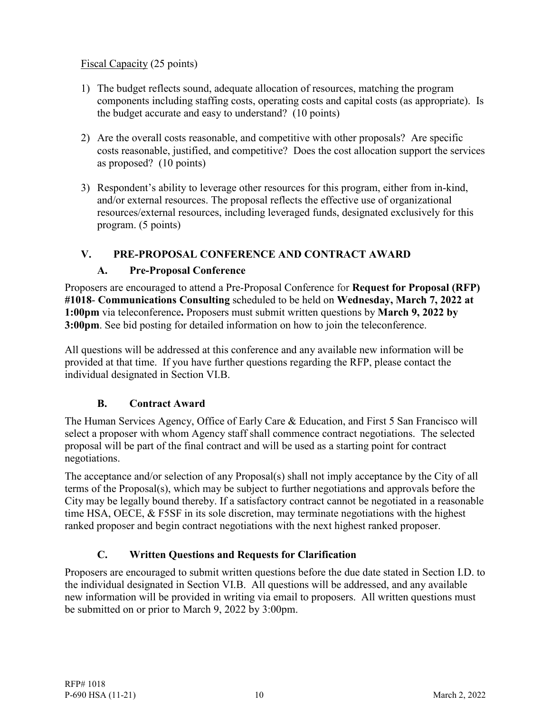## Fiscal Capacity (25 points)

- 1) The budget reflects sound, adequate allocation of resources, matching the program components including staffing costs, operating costs and capital costs (as appropriate). Is the budget accurate and easy to understand? (10 points)
- 2) Are the overall costs reasonable, and competitive with other proposals? Are specific costs reasonable, justified, and competitive? Does the cost allocation support the services as proposed? (10 points)
- 3) Respondent's ability to leverage other resources for this program, either from in-kind, and/or external resources. The proposal reflects the effective use of organizational resources/external resources, including leveraged funds, designated exclusively for this program. (5 points)

## <span id="page-11-0"></span>**V. PRE-PROPOSAL CONFERENCE AND CONTRACT AWARD**

## **A. Pre-Proposal Conference**

Proposers are encouraged to attend a Pre-Proposal Conference for **Request for Proposal (RFP) #1018**- **Communications Consulting** scheduled to be held on **Wednesday, March 7, 2022 at 1:00pm** via teleconference**.** Proposers must submit written questions by **March 9, 2022 by 3:00pm**. See bid posting for detailed information on how to join the teleconference.

All questions will be addressed at this conference and any available new information will be provided at that time. If you have further questions regarding the RFP, please contact the individual designated in Section VI.B.

## **B. Contract Award**

The Human Services Agency, Office of Early Care & Education, and First 5 San Francisco will select a proposer with whom Agency staff shall commence contract negotiations. The selected proposal will be part of the final contract and will be used as a starting point for contract negotiations.

The acceptance and/or selection of any Proposal(s) shall not imply acceptance by the City of all terms of the Proposal(s), which may be subject to further negotiations and approvals before the City may be legally bound thereby. If a satisfactory contract cannot be negotiated in a reasonable time HSA, OECE, & F5SF in its sole discretion, may terminate negotiations with the highest ranked proposer and begin contract negotiations with the next highest ranked proposer.

# **C. Written Questions and Requests for Clarification**

Proposers are encouraged to submit written questions before the due date stated in Section I.D. to the individual designated in Section VI.B. All questions will be addressed, and any available new information will be provided in writing via email to proposers. All written questions must be submitted on or prior to March 9, 2022 by 3:00pm.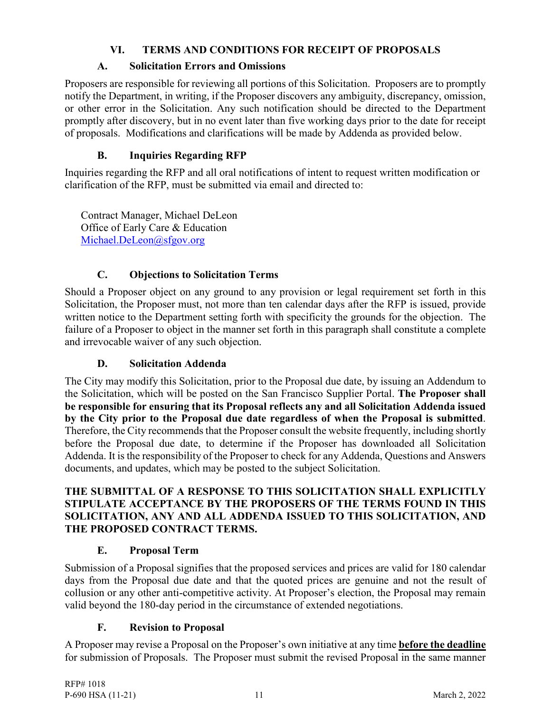## **VI. TERMS AND CONDITIONS FOR RECEIPT OF PROPOSALS**

## **A. Solicitation Errors and Omissions**

<span id="page-12-0"></span>Proposers are responsible for reviewing all portions of this Solicitation. Proposers are to promptly notify the Department, in writing, if the Proposer discovers any ambiguity, discrepancy, omission, or other error in the Solicitation. Any such notification should be directed to the Department promptly after discovery, but in no event later than five working days prior to the date for receipt of proposals. Modifications and clarifications will be made by Addenda as provided below.

# **B. Inquiries Regarding RFP**

Inquiries regarding the RFP and all oral notifications of intent to request written modification or clarification of the RFP, must be submitted via email and directed to:

Contract Manager, Michael DeLeon Office of Early Care & Education [Michael.DeLeon@sfgov.org](mailto:Michael.DeLeon@sfgov.org)

# **C. Objections to Solicitation Terms**

Should a Proposer object on any ground to any provision or legal requirement set forth in this Solicitation, the Proposer must, not more than ten calendar days after the RFP is issued, provide written notice to the Department setting forth with specificity the grounds for the objection. The failure of a Proposer to object in the manner set forth in this paragraph shall constitute a complete and irrevocable waiver of any such objection.

# **D. Solicitation Addenda**

The City may modify this Solicitation, prior to the Proposal due date, by issuing an Addendum to the Solicitation, which will be posted on the San Francisco Supplier Portal. **The Proposer shall be responsible for ensuring that its Proposal reflects any and all Solicitation Addenda issued by the City prior to the Proposal due date regardless of when the Proposal is submitted**. Therefore, the City recommends that the Proposer consult the website frequently, including shortly before the Proposal due date, to determine if the Proposer has downloaded all Solicitation Addenda. It is the responsibility of the Proposer to check for any Addenda, Questions and Answers documents, and updates, which may be posted to the subject Solicitation.

### **THE SUBMITTAL OF A RESPONSE TO THIS SOLICITATION SHALL EXPLICITLY STIPULATE ACCEPTANCE BY THE PROPOSERS OF THE TERMS FOUND IN THIS SOLICITATION, ANY AND ALL ADDENDA ISSUED TO THIS SOLICITATION, AND THE PROPOSED CONTRACT TERMS.**

# **E. Proposal Term**

Submission of a Proposal signifies that the proposed services and prices are valid for 180 calendar days from the Proposal due date and that the quoted prices are genuine and not the result of collusion or any other anti-competitive activity. At Proposer's election, the Proposal may remain valid beyond the 180-day period in the circumstance of extended negotiations.

## **F. Revision to Proposal**

A Proposer may revise a Proposal on the Proposer's own initiative at any time **before the deadline** for submission of Proposals. The Proposer must submit the revised Proposal in the same manner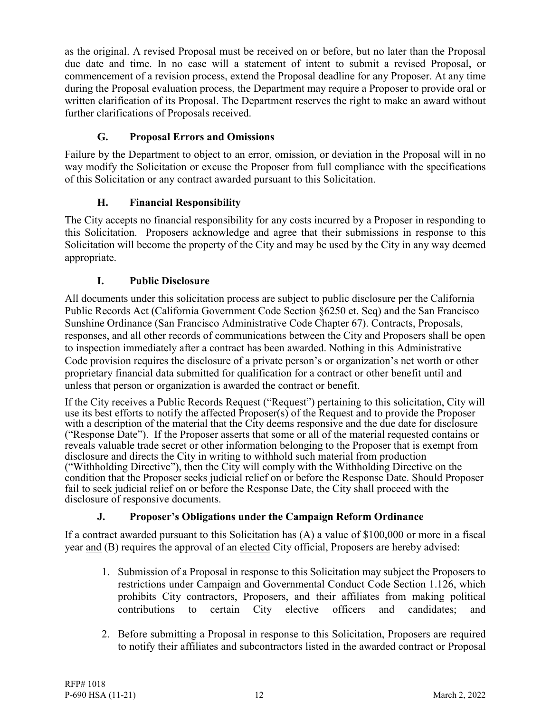as the original. A revised Proposal must be received on or before, but no later than the Proposal due date and time. In no case will a statement of intent to submit a revised Proposal, or commencement of a revision process, extend the Proposal deadline for any Proposer. At any time during the Proposal evaluation process, the Department may require a Proposer to provide oral or written clarification of its Proposal. The Department reserves the right to make an award without further clarifications of Proposals received.

# **G. Proposal Errors and Omissions**

Failure by the Department to object to an error, omission, or deviation in the Proposal will in no way modify the Solicitation or excuse the Proposer from full compliance with the specifications of this Solicitation or any contract awarded pursuant to this Solicitation.

# **H. Financial Responsibility**

The City accepts no financial responsibility for any costs incurred by a Proposer in responding to this Solicitation. Proposers acknowledge and agree that their submissions in response to this Solicitation will become the property of the City and may be used by the City in any way deemed appropriate.

## **I. Public Disclosure**

All documents under this solicitation process are subject to public disclosure per the California Public Records Act (California Government Code Section §6250 et. Seq) and the San Francisco Sunshine Ordinance (San Francisco Administrative Code Chapter 67). Contracts, Proposals, responses, and all other records of communications between the City and Proposers shall be open to inspection immediately after a contract has been awarded. Nothing in this Administrative Code provision requires the disclosure of a private person's or organization's net worth or other proprietary financial data submitted for qualification for a contract or other benefit until and unless that person or organization is awarded the contract or benefit.

If the City receives a Public Records Request ("Request") pertaining to this solicitation, City will use its best efforts to notify the affected Proposer(s) of the Request and to provide the Proposer with a description of the material that the City deems responsive and the due date for disclosure ("Response Date"). If the Proposer asserts that some or all of the material requested contains or reveals valuable trade secret or other information belonging to the Proposer that is exempt from disclosure and directs the City in writing to withhold such material from production ("Withholding Directive"), then the City will comply with the Withholding Directive on the condition that the Proposer seeks judicial relief on or before the Response Date. Should Proposer fail to seek judicial relief on or before the Response Date, the City shall proceed with the disclosure of responsive documents.

# **J. Proposer's Obligations under the Campaign Reform Ordinance**

If a contract awarded pursuant to this Solicitation has (A) a value of \$100,000 or more in a fiscal year and (B) requires the approval of an elected City official, Proposers are hereby advised:

- 1. Submission of a Proposal in response to this Solicitation may subject the Proposers to restrictions under Campaign and Governmental Conduct Code Section 1.126, which prohibits City contractors, Proposers, and their affiliates from making political contributions to certain City elective officers and candidates; and
- 2. Before submitting a Proposal in response to this Solicitation, Proposers are required to notify their affiliates and subcontractors listed in the awarded contract or Proposal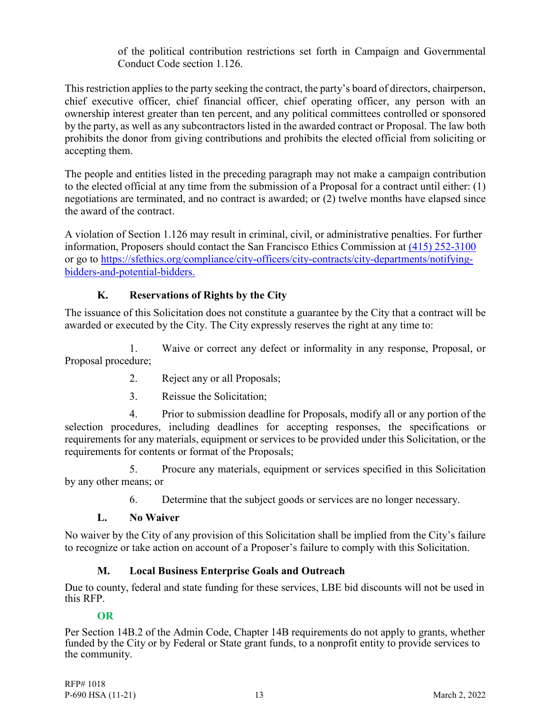of the political contribution restrictions set forth in Campaign and Governmental Conduct Code section 1.126.

This restriction applies to the party seeking the contract, the party's board of directors, chairperson, chief executive officer, chief financial officer, chief operating officer, any person with an ownership interest greater than ten percent, and any political committees controlled or sponsored by the party, as well as any subcontractors listed in the awarded contract or Proposal. The law both prohibits the donor from giving contributions and prohibits the elected official from soliciting or accepting them.

The people and entities listed in the preceding paragraph may not make a campaign contribution to the elected official at any time from the submission of a Proposal for a contract until either: (1) negotiations are terminated, and no contract is awarded; or (2) twelve months have elapsed since the award of the contract.

A violation of Section 1.126 may result in criminal, civil, or administrative penalties. For further information, Proposers should contact the San Francisco Ethics Commission at [\(415\) 252-3100](tel:(415)%20252-3100) or go to [https://sfethics.org/compliance/city-officers/city-contracts/city-departments/notifying](https://sfethics.org/compliance/city-officers/city-contracts/city-departments/notifying-bidders-and-potential-bidders)[bidders-and-potential-bidders.](https://sfethics.org/compliance/city-officers/city-contracts/city-departments/notifying-bidders-and-potential-bidders)

## **K. Reservations of Rights by the City**

The issuance of this Solicitation does not constitute a guarantee by the City that a contract will be awarded or executed by the City. The City expressly reserves the right at any time to:

1. Waive or correct any defect or informality in any response, Proposal, or Proposal procedure;

- 2. Reject any or all Proposals;
- 3. Reissue the Solicitation;

4. Prior to submission deadline for Proposals, modify all or any portion of the selection procedures, including deadlines for accepting responses, the specifications or requirements for any materials, equipment or services to be provided under this Solicitation, or the requirements for contents or format of the Proposals;

5. Procure any materials, equipment or services specified in this Solicitation by any other means; or

6. Determine that the subject goods or services are no longer necessary.

## **L. No Waiver**

No waiver by the City of any provision of this Solicitation shall be implied from the City's failure to recognize or take action on account of a Proposer's failure to comply with this Solicitation.

## **M. Local Business Enterprise Goals and Outreach**

Due to county, federal and state funding for these services, LBE bid discounts will not be used in this RFP.

## **OR**

Per Section 14B.2 of the Admin Code, Chapter 14B requirements do not apply to grants, whether funded by the City or by Federal or State grant funds, to a nonprofit entity to provide services to the community.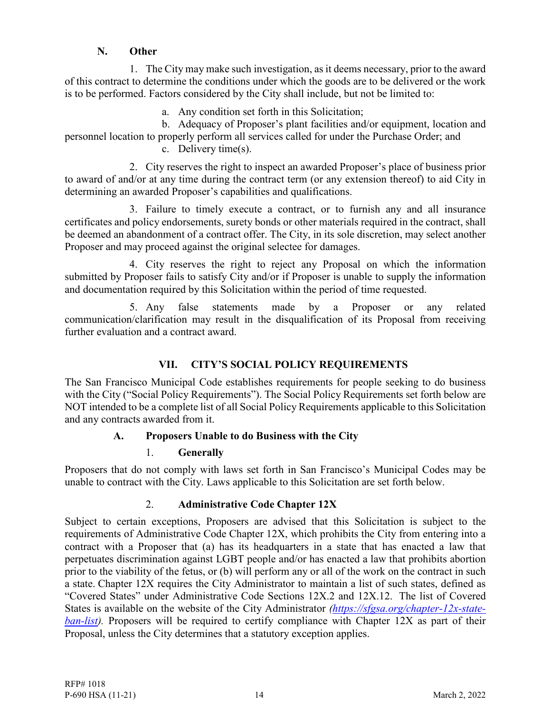### **N. Other**

1. The City may make such investigation, as it deems necessary, prior to the award of this contract to determine the conditions under which the goods are to be delivered or the work is to be performed. Factors considered by the City shall include, but not be limited to:

a. Any condition set forth in this Solicitation;

b. Adequacy of Proposer's plant facilities and/or equipment, location and personnel location to properly perform all services called for under the Purchase Order; and

c. Delivery time(s).

2. City reserves the right to inspect an awarded Proposer's place of business prior to award of and/or at any time during the contract term (or any extension thereof) to aid City in determining an awarded Proposer's capabilities and qualifications.

3. Failure to timely execute a contract, or to furnish any and all insurance certificates and policy endorsements, surety bonds or other materials required in the contract, shall be deemed an abandonment of a contract offer. The City, in its sole discretion, may select another Proposer and may proceed against the original selectee for damages.

4. City reserves the right to reject any Proposal on which the information submitted by Proposer fails to satisfy City and/or if Proposer is unable to supply the information and documentation required by this Solicitation within the period of time requested.

5. Any false statements made by a Proposer or any related communication/clarification may result in the disqualification of its Proposal from receiving further evaluation and a contract award.

## **VII. CITY'S SOCIAL POLICY REQUIREMENTS**

<span id="page-15-0"></span>The San Francisco Municipal Code establishes requirements for people seeking to do business with the City ("Social Policy Requirements"). The Social Policy Requirements set forth below are NOT intended to be a complete list of all Social Policy Requirements applicable to this Solicitation and any contracts awarded from it.

## **A. Proposers Unable to do Business with the City**

## 1. **Generally**

Proposers that do not comply with laws set forth in San Francisco's Municipal Codes may be unable to contract with the City. Laws applicable to this Solicitation are set forth below.

## 2. **Administrative Code Chapter 12X**

Subject to certain exceptions, Proposers are advised that this Solicitation is subject to the requirements of Administrative Code Chapter 12X, which prohibits the City from entering into a contract with a Proposer that (a) has its headquarters in a state that has enacted a law that perpetuates discrimination against LGBT people and/or has enacted a law that prohibits abortion prior to the viability of the fetus, or (b) will perform any or all of the work on the contract in such a state. Chapter 12X requires the City Administrator to maintain a list of such states, defined as "Covered States" under Administrative Code Sections 12X.2 and 12X.12. The list of Covered States is available on the website of the City Administrator *[\(https://sfgsa.org/chapter-12x-state](https://sfgsa.org/chapter-12x-state-ban-list)ban-list*). Proposers will be required to certify compliance with Chapter 12X as part of their Proposal, unless the City determines that a statutory exception applies.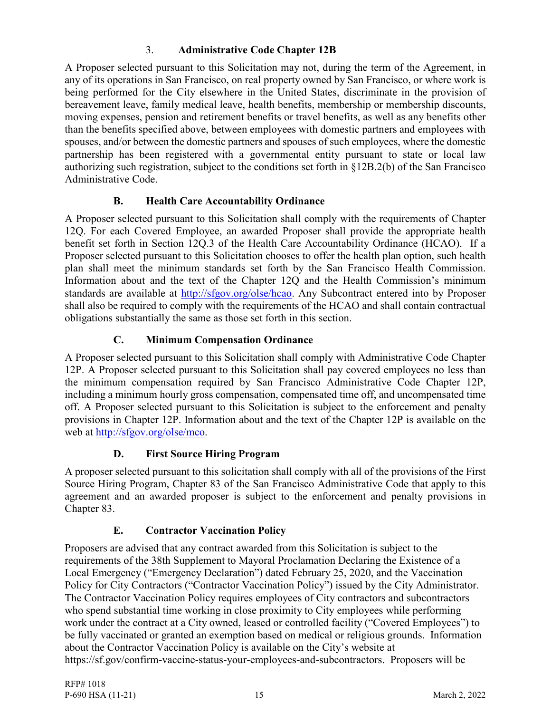## 3. **Administrative Code Chapter 12B**

A Proposer selected pursuant to this Solicitation may not, during the term of the Agreement, in any of its operations in San Francisco, on real property owned by San Francisco, or where work is being performed for the City elsewhere in the United States, discriminate in the provision of bereavement leave, family medical leave, health benefits, membership or membership discounts, moving expenses, pension and retirement benefits or travel benefits, as well as any benefits other than the benefits specified above, between employees with domestic partners and employees with spouses, and/or between the domestic partners and spouses of such employees, where the domestic partnership has been registered with a governmental entity pursuant to state or local law authorizing such registration, subject to the conditions set forth in §12B.2(b) of the San Francisco Administrative Code.

## **B. Health Care Accountability Ordinance**

A Proposer selected pursuant to this Solicitation shall comply with the requirements of Chapter 12Q. For each Covered Employee, an awarded Proposer shall provide the appropriate health benefit set forth in Section 12Q.3 of the Health Care Accountability Ordinance (HCAO). If a Proposer selected pursuant to this Solicitation chooses to offer the health plan option, such health plan shall meet the minimum standards set forth by the San Francisco Health Commission. Information about and the text of the Chapter 12Q and the Health Commission's minimum standards are available at [http://sfgov.org/olse/hcao.](http://sfgov.org/olse/hcao) Any Subcontract entered into by Proposer shall also be required to comply with the requirements of the HCAO and shall contain contractual obligations substantially the same as those set forth in this section.

## **C. Minimum Compensation Ordinance**

A Proposer selected pursuant to this Solicitation shall comply with Administrative Code Chapter 12P. A Proposer selected pursuant to this Solicitation shall pay covered employees no less than the minimum compensation required by San Francisco Administrative Code Chapter 12P, including a minimum hourly gross compensation, compensated time off, and uncompensated time off. A Proposer selected pursuant to this Solicitation is subject to the enforcement and penalty provisions in Chapter 12P. Information about and the text of the Chapter 12P is available on the web at [http://sfgov.org/olse/mco.](http://sfgov.org/olse/mco)

## **D. First Source Hiring Program**

A proposer selected pursuant to this solicitation shall comply with all of the provisions of the First Source Hiring Program, Chapter 83 of the San Francisco Administrative Code that apply to this agreement and an awarded proposer is subject to the enforcement and penalty provisions in Chapter 83.

# **E. Contractor Vaccination Policy**

Proposers are advised that any contract awarded from this Solicitation is subject to the requirements of the 38th Supplement to Mayoral Proclamation Declaring the Existence of a Local Emergency ("Emergency Declaration") dated February 25, 2020, and the Vaccination Policy for City Contractors ("Contractor Vaccination Policy") issued by the City Administrator. The Contractor Vaccination Policy requires employees of City contractors and subcontractors who spend substantial time working in close proximity to City employees while performing work under the contract at a City owned, leased or controlled facility ("Covered Employees") to be fully vaccinated or granted an exemption based on medical or religious grounds. Information about the Contractor Vaccination Policy is available on the City's website at https://sf.gov/confirm-vaccine-status-your-employees-and-subcontractors. Proposers will be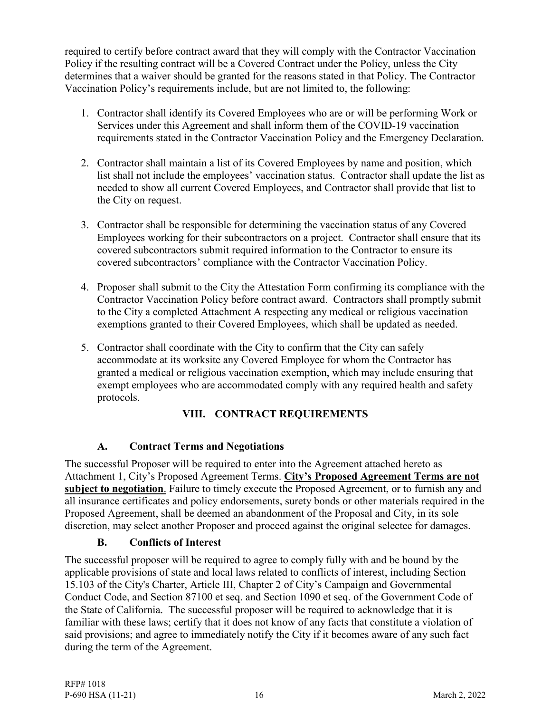required to certify before contract award that they will comply with the Contractor Vaccination Policy if the resulting contract will be a Covered Contract under the Policy, unless the City determines that a waiver should be granted for the reasons stated in that Policy. The Contractor Vaccination Policy's requirements include, but are not limited to, the following:

- 1. Contractor shall identify its Covered Employees who are or will be performing Work or Services under this Agreement and shall inform them of the COVID-19 vaccination requirements stated in the Contractor Vaccination Policy and the Emergency Declaration.
- 2. Contractor shall maintain a list of its Covered Employees by name and position, which list shall not include the employees' vaccination status. Contractor shall update the list as needed to show all current Covered Employees, and Contractor shall provide that list to the City on request.
- 3. Contractor shall be responsible for determining the vaccination status of any Covered Employees working for their subcontractors on a project. Contractor shall ensure that its covered subcontractors submit required information to the Contractor to ensure its covered subcontractors' compliance with the Contractor Vaccination Policy.
- 4. Proposer shall submit to the City the Attestation Form confirming its compliance with the Contractor Vaccination Policy before contract award. Contractors shall promptly submit to the City a completed Attachment A respecting any medical or religious vaccination exemptions granted to their Covered Employees, which shall be updated as needed.
- 5. Contractor shall coordinate with the City to confirm that the City can safely accommodate at its worksite any Covered Employee for whom the Contractor has granted a medical or religious vaccination exemption, which may include ensuring that exempt employees who are accommodated comply with any required health and safety protocols.

# **VIII. CONTRACT REQUIREMENTS**

## <span id="page-17-0"></span>**A. Contract Terms and Negotiations**

The successful Proposer will be required to enter into the Agreement attached hereto as Attachment 1, City's Proposed Agreement Terms. **City's Proposed Agreement Terms are not subject to negotiation**. Failure to timely execute the Proposed Agreement, or to furnish any and all insurance certificates and policy endorsements, surety bonds or other materials required in the Proposed Agreement, shall be deemed an abandonment of the Proposal and City, in its sole discretion, may select another Proposer and proceed against the original selectee for damages.

## **B. Conflicts of Interest**

The successful proposer will be required to agree to comply fully with and be bound by the applicable provisions of state and local laws related to conflicts of interest, including Section 15.103 of the City's Charter, Article III, Chapter 2 of City's Campaign and Governmental Conduct Code, and Section 87100 et seq. and Section 1090 et seq. of the Government Code of the State of California. The successful proposer will be required to acknowledge that it is familiar with these laws; certify that it does not know of any facts that constitute a violation of said provisions; and agree to immediately notify the City if it becomes aware of any such fact during the term of the Agreement.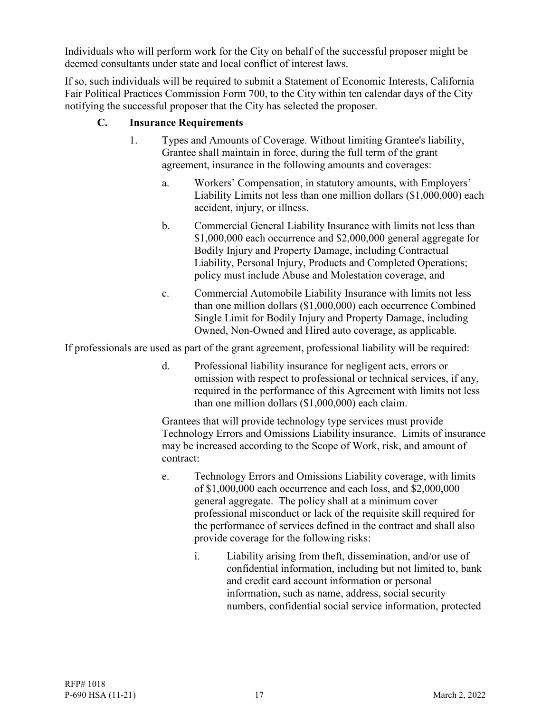Individuals who will perform work for the City on behalf of the successful proposer might be deemed consultants under state and local conflict of interest laws.

If so, such individuals will be required to submit a Statement of Economic Interests, California Fair Political Practices Commission Form 700, to the City within ten calendar days of the City notifying the successful proposer that the City has selected the proposer.

### **C. Insurance Requirements**

- 1. Types and Amounts of Coverage. Without limiting Grantee's liability, Grantee shall maintain in force, during the full term of the grant agreement, insurance in the following amounts and coverages:
	- a. Workers' Compensation, in statutory amounts, with Employers' Liability Limits not less than one million dollars (\$1,000,000) each accident, injury, or illness.
	- b. Commercial General Liability Insurance with limits not less than \$1,000,000 each occurrence and \$2,000,000 general aggregate for Bodily Injury and Property Damage, including Contractual Liability, Personal Injury, Products and Completed Operations; policy must include Abuse and Molestation coverage, and
	- c. Commercial Automobile Liability Insurance with limits not less than one million dollars (\$1,000,000) each occurrence Combined Single Limit for Bodily Injury and Property Damage, including Owned, Non-Owned and Hired auto coverage, as applicable.

If professionals are used as part of the grant agreement, professional liability will be required:

d. Professional liability insurance for negligent acts, errors or omission with respect to professional or technical services, if any, required in the performance of this Agreement with limits not less than one million dollars (\$1,000,000) each claim.

Grantees that will provide technology type services must provide Technology Errors and Omissions Liability insurance. Limits of insurance may be increased according to the Scope of Work, risk, and amount of contract:

- e. Technology Errors and Omissions Liability coverage, with limits of \$1,000,000 each occurrence and each loss, and \$2,000,000 general aggregate. The policy shall at a minimum cover professional misconduct or lack of the requisite skill required for the performance of services defined in the contract and shall also provide coverage for the following risks:
	- i. Liability arising from theft, dissemination, and/or use of confidential information, including but not limited to, bank and credit card account information or personal information, such as name, address, social security numbers, confidential social service information, protected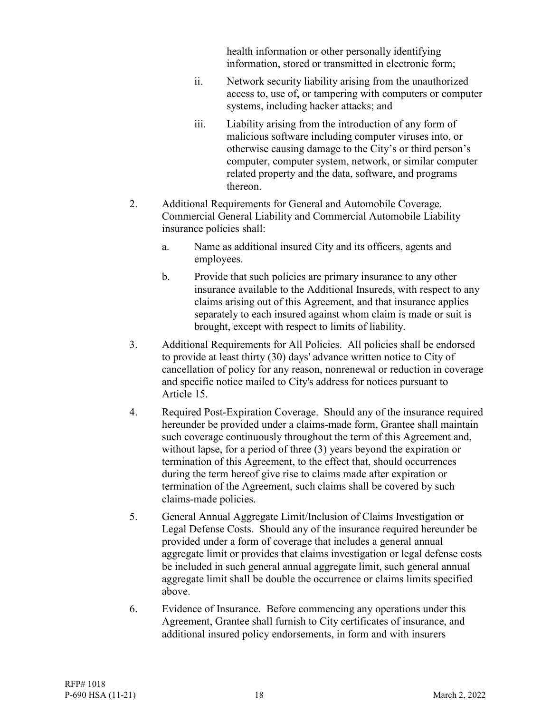health information or other personally identifying information, stored or transmitted in electronic form;

- ii. Network security liability arising from the unauthorized access to, use of, or tampering with computers or computer systems, including hacker attacks; and
- iii. Liability arising from the introduction of any form of malicious software including computer viruses into, or otherwise causing damage to the City's or third person's computer, computer system, network, or similar computer related property and the data, software, and programs thereon.
- 2. Additional Requirements for General and Automobile Coverage. Commercial General Liability and Commercial Automobile Liability insurance policies shall:
	- a. Name as additional insured City and its officers, agents and employees.
	- b. Provide that such policies are primary insurance to any other insurance available to the Additional Insureds, with respect to any claims arising out of this Agreement, and that insurance applies separately to each insured against whom claim is made or suit is brought, except with respect to limits of liability.
- 3. Additional Requirements for All Policies. All policies shall be endorsed to provide at least thirty (30) days' advance written notice to City of cancellation of policy for any reason, nonrenewal or reduction in coverage and specific notice mailed to City's address for notices pursuant to Article 15.
- 4. Required Post-Expiration Coverage. Should any of the insurance required hereunder be provided under a claims-made form, Grantee shall maintain such coverage continuously throughout the term of this Agreement and, without lapse, for a period of three (3) years beyond the expiration or termination of this Agreement, to the effect that, should occurrences during the term hereof give rise to claims made after expiration or termination of the Agreement, such claims shall be covered by such claims-made policies.
- 5. General Annual Aggregate Limit/Inclusion of Claims Investigation or Legal Defense Costs. Should any of the insurance required hereunder be provided under a form of coverage that includes a general annual aggregate limit or provides that claims investigation or legal defense costs be included in such general annual aggregate limit, such general annual aggregate limit shall be double the occurrence or claims limits specified above.
- 6. Evidence of Insurance. Before commencing any operations under this Agreement, Grantee shall furnish to City certificates of insurance, and additional insured policy endorsements, in form and with insurers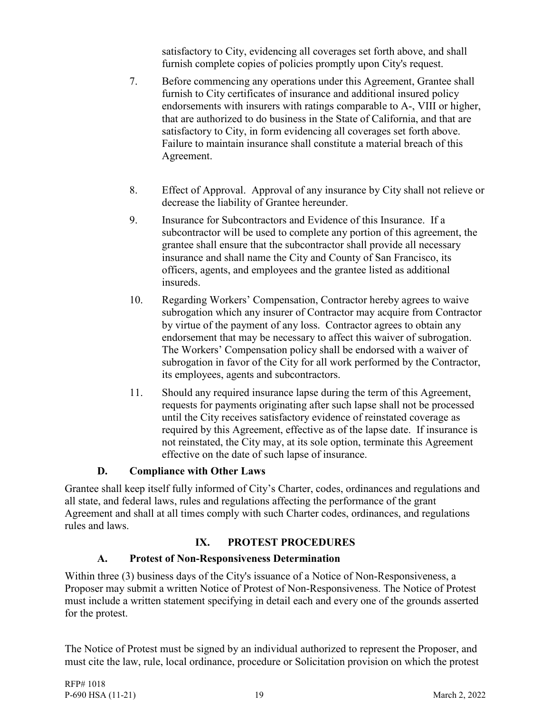satisfactory to City, evidencing all coverages set forth above, and shall furnish complete copies of policies promptly upon City's request.

- 7. Before commencing any operations under this Agreement, Grantee shall furnish to City certificates of insurance and additional insured policy endorsements with insurers with ratings comparable to A-, VIII or higher, that are authorized to do business in the State of California, and that are satisfactory to City, in form evidencing all coverages set forth above. Failure to maintain insurance shall constitute a material breach of this Agreement.
- 8. Effect of Approval. Approval of any insurance by City shall not relieve or decrease the liability of Grantee hereunder.
- 9. Insurance for Subcontractors and Evidence of this Insurance. If a subcontractor will be used to complete any portion of this agreement, the grantee shall ensure that the subcontractor shall provide all necessary insurance and shall name the City and County of San Francisco, its officers, agents, and employees and the grantee listed as additional insureds.
- 10. Regarding Workers' Compensation, Contractor hereby agrees to waive subrogation which any insurer of Contractor may acquire from Contractor by virtue of the payment of any loss. Contractor agrees to obtain any endorsement that may be necessary to affect this waiver of subrogation. The Workers' Compensation policy shall be endorsed with a waiver of subrogation in favor of the City for all work performed by the Contractor, its employees, agents and subcontractors.
- 11. Should any required insurance lapse during the term of this Agreement, requests for payments originating after such lapse shall not be processed until the City receives satisfactory evidence of reinstated coverage as required by this Agreement, effective as of the lapse date. If insurance is not reinstated, the City may, at its sole option, terminate this Agreement effective on the date of such lapse of insurance.

## **D. Compliance with Other Laws**

Grantee shall keep itself fully informed of City's Charter, codes, ordinances and regulations and all state, and federal laws, rules and regulations affecting the performance of the grant Agreement and shall at all times comply with such Charter codes, ordinances, and regulations rules and laws.

### **IX. PROTEST PROCEDURES**

### **A. Protest of Non-Responsiveness Determination**

<span id="page-20-0"></span>Within three (3) business days of the City's issuance of a Notice of Non-Responsiveness, a Proposer may submit a written Notice of Protest of Non-Responsiveness. The Notice of Protest must include a written statement specifying in detail each and every one of the grounds asserted for the protest.

The Notice of Protest must be signed by an individual authorized to represent the Proposer, and must cite the law, rule, local ordinance, procedure or Solicitation provision on which the protest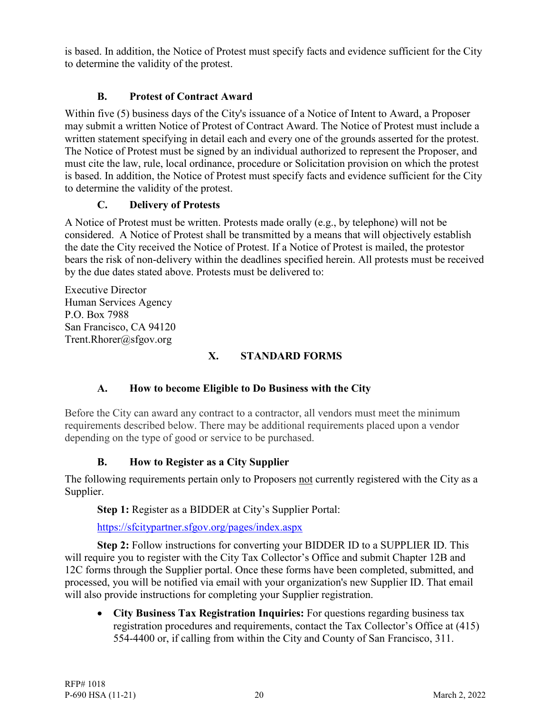is based. In addition, the Notice of Protest must specify facts and evidence sufficient for the City to determine the validity of the protest.

## **B. Protest of Contract Award**

Within five (5) business days of the City's issuance of a Notice of Intent to Award, a Proposer may submit a written Notice of Protest of Contract Award. The Notice of Protest must include a written statement specifying in detail each and every one of the grounds asserted for the protest. The Notice of Protest must be signed by an individual authorized to represent the Proposer, and must cite the law, rule, local ordinance, procedure or Solicitation provision on which the protest is based. In addition, the Notice of Protest must specify facts and evidence sufficient for the City to determine the validity of the protest.

## **C. Delivery of Protests**

A Notice of Protest must be written. Protests made orally (e.g., by telephone) will not be considered. A Notice of Protest shall be transmitted by a means that will objectively establish the date the City received the Notice of Protest. If a Notice of Protest is mailed, the protestor bears the risk of non-delivery within the deadlines specified herein. All protests must be received by the due dates stated above. Protests must be delivered to:

Executive Director Human Services Agency P.O. Box 7988 San Francisco, CA 94120 [Trent.Rhorer@sfgov.org](mailto:Trent.Rhorer@sfgov.org)

# **X. STANDARD FORMS**

# <span id="page-21-0"></span>**A. How to become Eligible to Do Business with the City**

Before the City can award any contract to a contractor, all vendors must meet the minimum requirements described below. There may be additional requirements placed upon a vendor depending on the type of good or service to be purchased.

## **B. How to Register as a City Supplier**

The following requirements pertain only to Proposers not currently registered with the City as a Supplier.

**Step 1:** Register as a BIDDER at City's Supplier Portal:

<https://sfcitypartner.sfgov.org/pages/index.aspx>

**Step 2:** Follow instructions for converting your BIDDER ID to a SUPPLIER ID. This will require you to register with the City Tax Collector's Office and submit Chapter 12B and 12C forms through the Supplier portal. Once these forms have been completed, submitted, and processed, you will be notified via email with your organization's new Supplier ID. That email will also provide instructions for completing your Supplier registration.

• **City Business Tax Registration Inquiries:** For questions regarding business tax registration procedures and requirements, contact the Tax Collector's Office at (415) 554-4400 or, if calling from within the City and County of San Francisco, 311.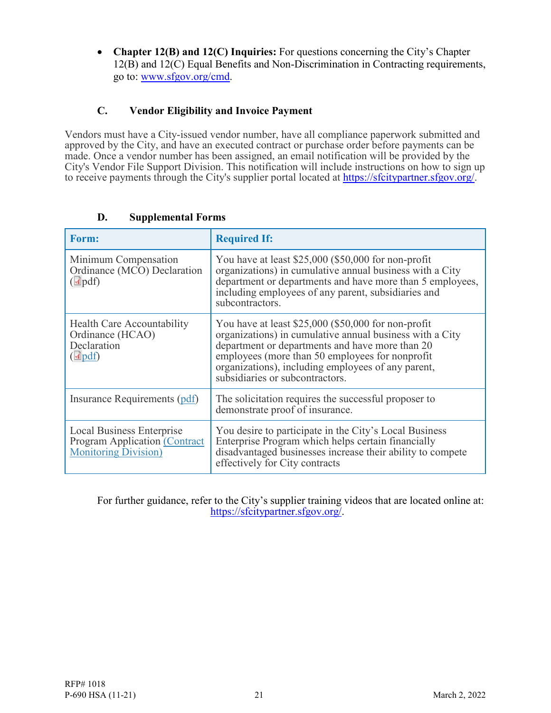• **Chapter 12(B) and 12(C) Inquiries:** For questions concerning the City's Chapter 12(B) and 12(C) Equal Benefits and Non-Discrimination in Contracting requirements, go to: [www.sfgov.org/cmd.](http://www.sfgov.org/cmd)

## **C. Vendor Eligibility and Invoice Payment**

Vendors must have a City-issued vendor number, have all compliance paperwork submitted and approved by the City, and have an executed contract or purchase order before payments can be made. Once a vendor number has been assigned, an email notification will be provided by the City's Vendor File Support Division. This notification will include instructions on how to sign up to receive payments through the City's supplier portal located at [https://sfcitypartner.sfgov.org/.](https://sfcitypartner.sfgov.org/)

| <b>Form:</b>                                                                                             | <b>Required If:</b>                                                                                                                                                                                                                                                                                            |
|----------------------------------------------------------------------------------------------------------|----------------------------------------------------------------------------------------------------------------------------------------------------------------------------------------------------------------------------------------------------------------------------------------------------------------|
| Minimum Compensation<br>Ordinance (MCO) Declaration<br>$(\Delta \text{pdf})$                             | You have at least \$25,000 (\$50,000 for non-profit<br>organizations) in cumulative annual business with a City<br>department or departments and have more than 5 employees,<br>including employees of any parent, subsidiaries and<br>subcontractors.                                                         |
| Health Care Accountability<br>Ordinance (HCAO)<br>Declaration<br>$(\blacksquare$ pdf)                    | You have at least \$25,000 (\$50,000 for non-profit<br>organizations) in cumulative annual business with a City<br>department or departments and have more than 20<br>employees (more than 50 employees for nonprofit<br>organizations), including employees of any parent,<br>subsidiaries or subcontractors. |
| Insurance Requirements (pdf)                                                                             | The solicitation requires the successful proposer to<br>demonstrate proof of insurance.                                                                                                                                                                                                                        |
| <b>Local Business Enterprise</b><br><b>Program Application (Contract</b><br><b>Monitoring Division</b> ) | You desire to participate in the City's Local Business<br>Enterprise Program which helps certain financially<br>disadvantaged businesses increase their ability to compete<br>effectively for City contracts                                                                                                   |

### **D. Supplemental Forms**

For further guidance, refer to the City's supplier training videos that are located online at: [https://sfcitypartner.sfgov.org/.](https://sfcitypartner.sfgov.org/)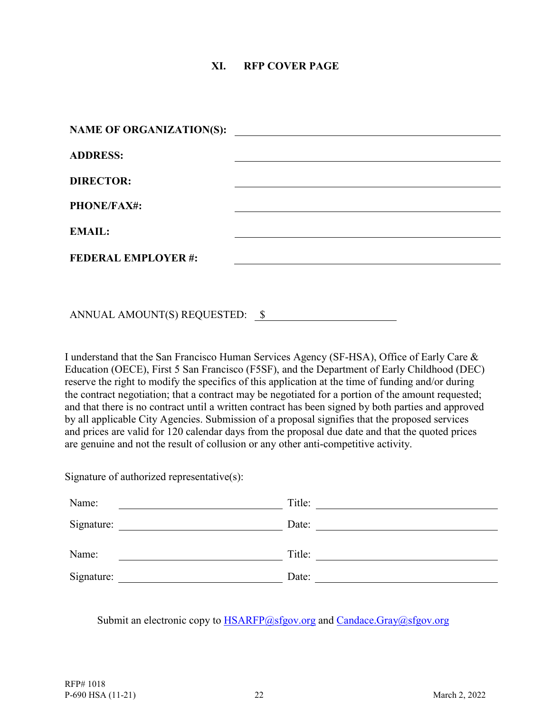### **XI. RFP COVER PAGE**

<span id="page-23-0"></span>

| NAME OF ORGANIZATION(S):  | <u> 1980 - Jan Samuel Barbara, martin da shekara 1980 - An tsara 1980 - An tsara 1980 - An tsara 1980 - An tsara</u> |
|---------------------------|----------------------------------------------------------------------------------------------------------------------|
| <b>ADDRESS:</b>           |                                                                                                                      |
| <b>DIRECTOR:</b>          |                                                                                                                      |
| <b>PHONE/FAX#:</b>        |                                                                                                                      |
| <b>EMAIL:</b>             |                                                                                                                      |
| <b>FEDERAL EMPLOYER#:</b> |                                                                                                                      |
|                           |                                                                                                                      |

ANNUAL AMOUNT(S) REQUESTED: \$

I understand that the San Francisco Human Services Agency (SF-HSA), Office of Early Care & Education (OECE), First 5 San Francisco (F5SF), and the Department of Early Childhood (DEC) reserve the right to modify the specifics of this application at the time of funding and/or during the contract negotiation; that a contract may be negotiated for a portion of the amount requested; and that there is no contract until a written contract has been signed by both parties and approved by all applicable City Agencies. Submission of a proposal signifies that the proposed services and prices are valid for 120 calendar days from the proposal due date and that the quoted prices are genuine and not the result of collusion or any other anti-competitive activity.

Signature of authorized representative(s):

| Name:      | Title: |
|------------|--------|
| Signature: | Date:  |
| Name:      | Title: |
| Signature: | Date:  |

Submit an electronic copy to **HSARFP**@sfgov.org and Candace.Gray@sfgov.org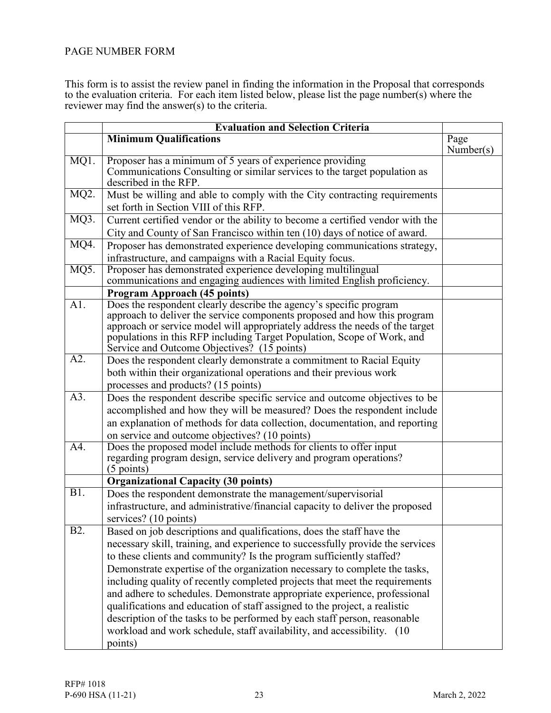### <span id="page-24-0"></span>PAGE NUMBER FORM

This form is to assist the review panel in finding the information in the Proposal that corresponds to the evaluation criteria. For each item listed below, please list the page number(s) where the reviewer may find the answer(s) to the criteria.

|                   | <b>Evaluation and Selection Criteria</b>                                                                                                                                                                                                                                                                                                                                                                                                                                                                                                                                                                                                                                                                                  |                   |
|-------------------|---------------------------------------------------------------------------------------------------------------------------------------------------------------------------------------------------------------------------------------------------------------------------------------------------------------------------------------------------------------------------------------------------------------------------------------------------------------------------------------------------------------------------------------------------------------------------------------------------------------------------------------------------------------------------------------------------------------------------|-------------------|
|                   | <b>Minimum Qualifications</b>                                                                                                                                                                                                                                                                                                                                                                                                                                                                                                                                                                                                                                                                                             | Page<br>Number(s) |
| MQ1.              | Proposer has a minimum of 5 years of experience providing<br>Communications Consulting or similar services to the target population as<br>described in the RFP.                                                                                                                                                                                                                                                                                                                                                                                                                                                                                                                                                           |                   |
| MQ <sub>2</sub> . | Must be willing and able to comply with the City contracting requirements<br>set forth in Section VIII of this RFP.                                                                                                                                                                                                                                                                                                                                                                                                                                                                                                                                                                                                       |                   |
| MQ3.              | Current certified vendor or the ability to become a certified vendor with the<br>City and County of San Francisco within ten (10) days of notice of award.                                                                                                                                                                                                                                                                                                                                                                                                                                                                                                                                                                |                   |
| MQ4.              | Proposer has demonstrated experience developing communications strategy,<br>infrastructure, and campaigns with a Racial Equity focus.                                                                                                                                                                                                                                                                                                                                                                                                                                                                                                                                                                                     |                   |
| MQ5.              | Proposer has demonstrated experience developing multilingual<br>communications and engaging audiences with limited English proficiency.                                                                                                                                                                                                                                                                                                                                                                                                                                                                                                                                                                                   |                   |
|                   | <b>Program Approach (45 points)</b>                                                                                                                                                                                                                                                                                                                                                                                                                                                                                                                                                                                                                                                                                       |                   |
| A1.               | Does the respondent clearly describe the agency's specific program<br>approach to deliver the service components proposed and how this program<br>approach or service model will appropriately address the needs of the target<br>populations in this RFP including Target Population, Scope of Work, and<br>Service and Outcome Objectives? (15 points)                                                                                                                                                                                                                                                                                                                                                                  |                   |
| A2.               | Does the respondent clearly demonstrate a commitment to Racial Equity<br>both within their organizational operations and their previous work<br>processes and products? (15 points)                                                                                                                                                                                                                                                                                                                                                                                                                                                                                                                                       |                   |
| $\overline{A3}$ . | Does the respondent describe specific service and outcome objectives to be<br>accomplished and how they will be measured? Does the respondent include<br>an explanation of methods for data collection, documentation, and reporting<br>on service and outcome objectives? (10 points)                                                                                                                                                                                                                                                                                                                                                                                                                                    |                   |
| $\overline{A4}$ . | Does the proposed model include methods for clients to offer input<br>regarding program design, service delivery and program operations?<br>$(5$ points)                                                                                                                                                                                                                                                                                                                                                                                                                                                                                                                                                                  |                   |
|                   | <b>Organizational Capacity (30 points)</b>                                                                                                                                                                                                                                                                                                                                                                                                                                                                                                                                                                                                                                                                                |                   |
| B1.               | Does the respondent demonstrate the management/supervisorial<br>infrastructure, and administrative/financial capacity to deliver the proposed<br>services? (10 points)                                                                                                                                                                                                                                                                                                                                                                                                                                                                                                                                                    |                   |
| B <sub>2</sub> .  | Based on job descriptions and qualifications, does the staff have the<br>necessary skill, training, and experience to successfully provide the services<br>to these clients and community? Is the program sufficiently staffed?<br>Demonstrate expertise of the organization necessary to complete the tasks,<br>including quality of recently completed projects that meet the requirements<br>and adhere to schedules. Demonstrate appropriate experience, professional<br>qualifications and education of staff assigned to the project, a realistic<br>description of the tasks to be performed by each staff person, reasonable<br>workload and work schedule, staff availability, and accessibility. (10<br>points) |                   |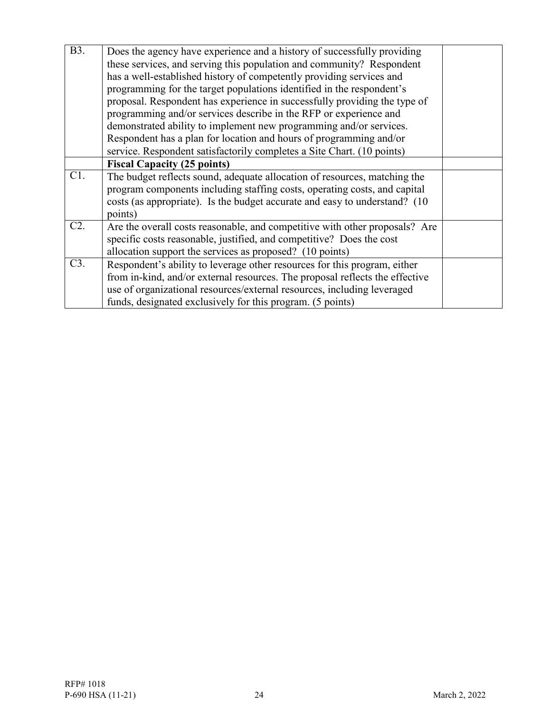| <b>B</b> 3. | Does the agency have experience and a history of successfully providing      |  |
|-------------|------------------------------------------------------------------------------|--|
|             | these services, and serving this population and community? Respondent        |  |
|             | has a well-established history of competently providing services and         |  |
|             | programming for the target populations identified in the respondent's        |  |
|             | proposal. Respondent has experience in successfully providing the type of    |  |
|             | programming and/or services describe in the RFP or experience and            |  |
|             | demonstrated ability to implement new programming and/or services.           |  |
|             | Respondent has a plan for location and hours of programming and/or           |  |
|             | service. Respondent satisfactorily completes a Site Chart. (10 points)       |  |
|             | <b>Fiscal Capacity (25 points)</b>                                           |  |
| C1.         | The budget reflects sound, adequate allocation of resources, matching the    |  |
|             | program components including staffing costs, operating costs, and capital    |  |
|             | costs (as appropriate). Is the budget accurate and easy to understand? (10   |  |
|             | points)                                                                      |  |
| C2.         | Are the overall costs reasonable, and competitive with other proposals? Are  |  |
|             | specific costs reasonable, justified, and competitive? Does the cost         |  |
|             | allocation support the services as proposed? (10 points)                     |  |
| C3.         | Respondent's ability to leverage other resources for this program, either    |  |
|             | from in-kind, and/or external resources. The proposal reflects the effective |  |
|             | use of organizational resources/external resources, including leveraged      |  |
|             | funds, designated exclusively for this program. (5 points)                   |  |